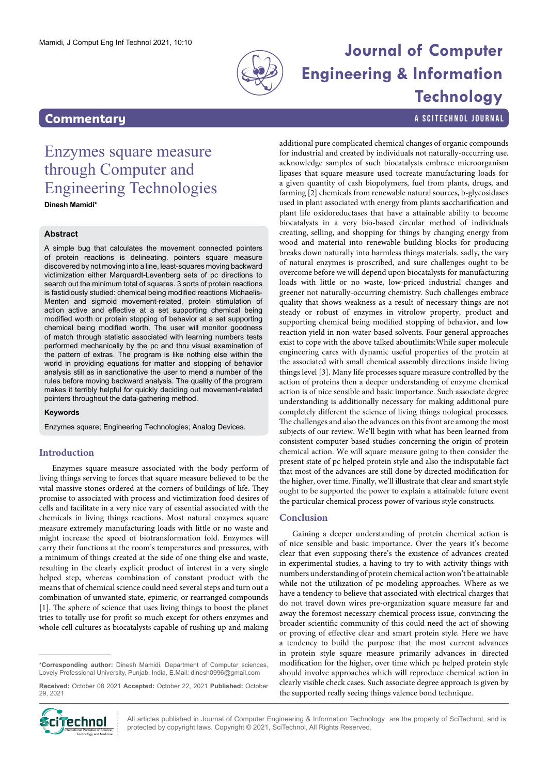

# Mamidi, J Comput Eng Inf Technol 2021, 10:10<br> **Journal of Computer Engineering & Information Technology**

additional pure complicated chemical changes of organic compounds for industrial and created by individuals not naturally-occurring use. acknowledge samples of such biocatalysts embrace microorganism lipases that square measure used tocreate manufacturing loads for

**Commentary Commentary a** SCITECHNOL JOURNAL

## Enzymes square measure through Computer and Engineering Technologies

**Dinesh Mamidi\***

#### **Abstract**

A simple bug that calculates the movement connected pointers of protein reactions is delineating. pointers square measure discovered by not moving into a line, least-squares moving backward victimization either Marquardt-Levenberg sets of pc directions to search out the minimum total of squares. 3 sorts of protein reactions is fastidiously studied: chemical being modified reactions Michaelis-Menten and sigmoid movement-related, protein stimulation of action active and effective at a set supporting chemical being modified worth or protein stopping of behavior at a set supporting chemical being modified worth. The user will monitor goodness of match through statistic associated with learning numbers tests performed mechanically by the pc and thru visual examination of the pattern of extras. The program is like nothing else within the world in providing equations for matter and stopping of behavior analysis still as in sanctionative the user to mend a number of the rules before moving backward analysis. The quality of the program makes it terribly helpful for quickly deciding out movement-related pointers throughout the data-gathering method.

#### **Keywords**

Enzymes square; Engineering Technologies; Analog Devices.

#### **Introduction**

Enzymes square measure associated with the body perform of living things serving to forces that square measure believed to be the vital massive stones ordered at the corners of buildings of life. They promise to associated with process and victimization food desires of cells and facilitate in a very nice vary of essential associated with the chemicals in living things reactions. Most natural enzymes square measure extremely manufacturing loads with little or no waste and might increase the speed of biotransformation fold. Enzymes will carry their functions at the room's temperatures and pressures, with a minimum of things created at the side of one thing else and waste, resulting in the clearly explicit product of interest in a very single helped step, whereas combination of constant product with the means that of chemical science could need several steps and turn out a combination of unwanted state, epimeric, or rearranged compounds [1]. The sphere of science that uses living things to boost the planet tries to totally use for profit so much except for others enzymes and whole cell cultures as biocatalysts capable of rushing up and making

**\*Corresponding author:** Dinesh Mamidi, Department of Computer sciences, Lovely Professional University, Punjab, India, E.Mail: dinesh0996@gmail.com

**Received:** October 08 2021 **Accepted:** October 22, 2021 **Published:** October 29, 2021



a given quantity of cash biopolymers, fuel from plants, drugs, and farming [2] chemicals from renewable natural sources, b-glycosidases used in plant associated with energy from plants saccharification and plant life oxidoreductases that have a attainable ability to become biocatalysts in a very bio-based circular method of individuals creating, selling, and shopping for things by changing energy from wood and material into renewable building blocks for producing breaks down naturally into harmless things materials. sadly, the vary of natural enzymes is proscribed, and sure challenges ought to be overcome before we will depend upon biocatalysts for manufacturing loads with little or no waste, low-priced industrial changes and greener not naturally-occurring chemistry. Such challenges embrace quality that shows weakness as a result of necessary things are not steady or robust of enzymes in vitrolow property, product and supporting chemical being modified stopping of behavior, and low reaction yield in non-water-based solvents. Four general approaches exist to cope with the above talked aboutlimits:While super molecule engineering cares with dynamic useful properties of the protein at the associated with small chemical assembly directions inside living things level [3]. Many life processes square measure controlled by the action of proteins then a deeper understanding of enzyme chemical action is of nice sensible and basic importance. Such associate degree understanding is additionally necessary for making additional pure completely different the science of living things nological processes. The challenges and also the advances on this front are among the most subjects of our review. We'll begin with what has been learned from consistent computer-based studies concerning the origin of protein chemical action. We will square measure going to then consider the present state of pc helped protein style and also the indisputable fact that most of the advances are still done by directed modification for the higher, over time. Finally, we'll illustrate that clear and smart style ought to be supported the power to explain a attainable future event the particular chemical process power of various style constructs. **Conclusion** Gaining a deeper understanding of protein chemical action is of nice sensible and basic importance. Over the years it's become clear that even supposing there's the existence of advances created

in experimental studies, a having to try to with activity things with numbers understanding of protein chemical action won't be attainable while not the utilization of pc modeling approaches. Where as we have a tendency to believe that associated with electrical charges that do not travel down wires pre-organization square measure far and away the foremost necessary chemical process issue, convincing the broader scientific community of this could need the act of showing or proving of effective clear and smart protein style. Here we have a tendency to build the purpose that the most current advances in protein style square measure primarily advances in directed modification for the higher, over time which pc helped protein style should involve approaches which will reproduce chemical action in clearly visible check cases. Such associate degree approach is given by the supported really seeing things valence bond technique.

All articles published in Journal of Computer Engineering & Information Technology are the property of SciTechnol, and is **protect by Compute** and articles published in Journal of Computer Engineering & Information Technol, All Rights Reserved.<br>International Publisher of Science, Copyright laws. Copyright © 2021, SciTechnol, All Rights Reserv